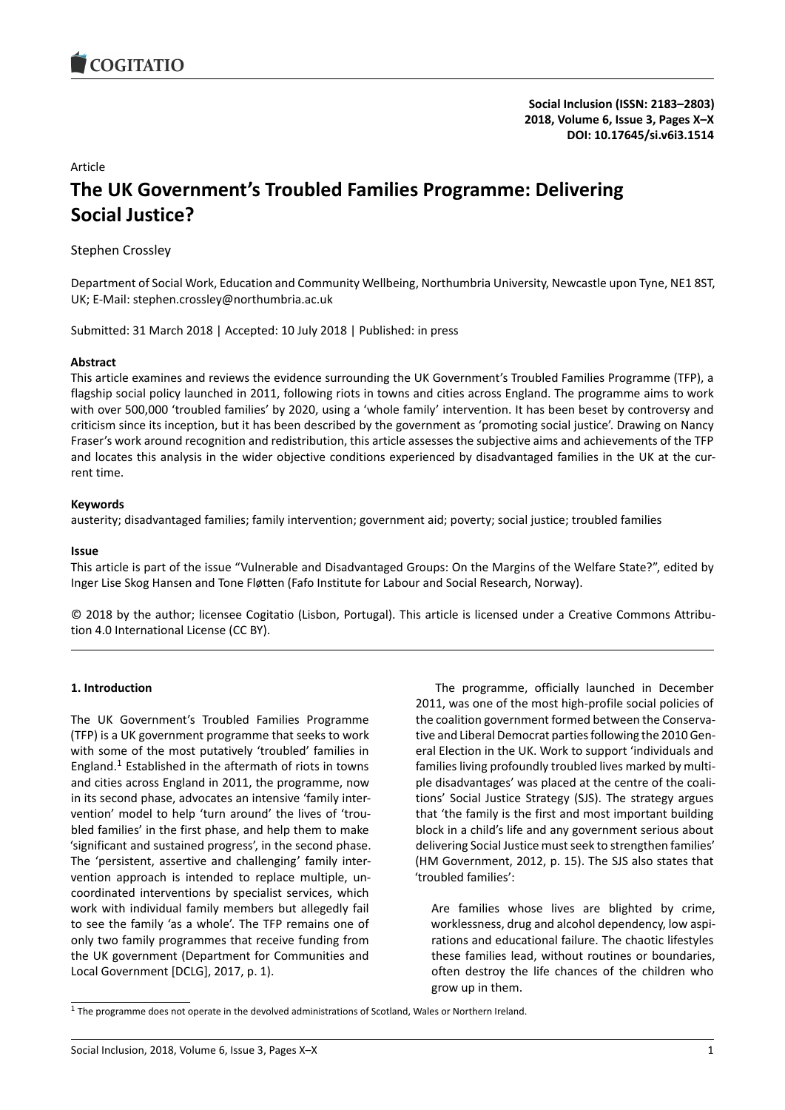# Article **The UK Government's Troubled Families Programme: Delivering Social Justice?**

Stephen Crossley

Department of Social Work, Education and Community Wellbeing, Northumbria University, Newcastle upon Tyne, NE1 8ST, UK; E-Mail: stephen.crossley@northumbria.ac.uk

Submitted: 31 March 2018 | Accepted: 10 July 2018 | Published: in press

#### **Abstract**

This article examines and reviews the evidence surrounding the UK Government's Troubled Families Programme (TFP), a flagship social policy launched in 2011, following riots in towns and cities across England. The programme aims to work with over 500,000 'troubled families' by 2020, using a 'whole family' intervention. It has been beset by controversy and criticism since its inception, but it has been described by the government as 'promoting social justice'. Drawing on Nancy Fraser's work around recognition and redistribution, this article assesses the subjective aims and achievements of the TFP and locates this analysis in the wider objective conditions experienced by disadvantaged families in the UK at the current time.

#### **Keywords**

austerity; disadvantaged families; family intervention; government aid; poverty; social justice; troubled families

#### **Issue**

This article is part of the issue "Vulnerable and Disadvantaged Groups: On the Margins of the Welfare State?", edited by Inger Lise Skog Hansen and Tone Fløtten (Fafo Institute for Labour and Social Research, Norway).

© 2018 by the author; licensee Cogitatio (Lisbon, Portugal). This article is licensed under a Creative Commons Attribution 4.0 International License (CC BY).

#### **1. Introduction**

The UK Government's Troubled Families Programme (TFP) is a UK government programme that seeks to work with some of the most putatively 'troubled' families in England.<sup>1</sup> Established in the aftermath of riots in towns and cities across England in 2011, the programme, now in its second phase, advocates an intensive 'family intervention' model to help 'turn around' the lives of 'troubled fa[mi](#page-0-0)lies' in the first phase, and help them to make 'significant and sustained progress', in the second phase. The 'persistent, assertive and challenging' family intervention approach is intended to replace multiple, uncoordinated interventions by specialist services, which work with individual family members but allegedly fail to see the family 'as a whole'. The TFP remains one of only two family programmes that receive funding from the UK government (Department for Communities and Local Government [DCLG], 2017, p. 1).

The programme, officially launched in December 2011, was one of the most high-profile social policies of the coalition government formed between the Conservative and Liberal Democrat parties following the 2010 General Election in the UK. Work to support 'individuals and families living profoundly troubled lives marked by multiple disadvantages' was placed at the centre of the coalitions' Social Justice Strategy (SJS). The strategy argues that 'the family is the first and most important building block in a child's life and any government serious about delivering Social Justice must seek to strengthen families' (HM Government, 2012, p. 15). The SJS also states that 'troubled families':

Are families whose lives are blighted by crime, worklessness, drug and alcohol dependency, low aspirations and educational failure. The chaotic lifestyles these families lead, without routines or boundaries, often destroy the life chances of the children who grow up in them.

<span id="page-0-0"></span> $1$  The programme does not operate in the devolved administrations of Scotland, Wales or Northern Ireland.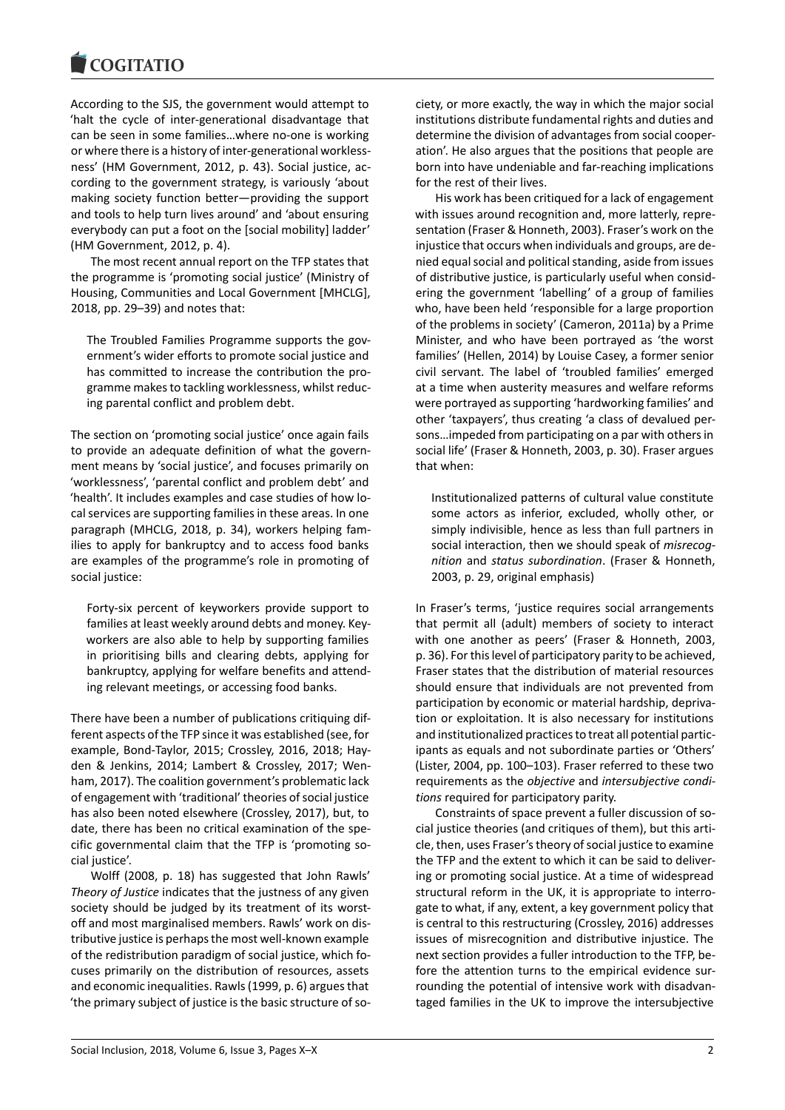

According to the SJS, the government would attempt to 'halt the cycle of inter-generational disadvantage that can be seen in some families…where no-one is working or where there is a history of inter-generational worklessness' (HM Government, 2012, p. 43). Social justice, according to the government strategy, is variously 'about making society function better—providing the support and tools to help turn lives around' and 'about ensuring everybody can put a foot on the [social mobility] ladder' (HM Government, 2012, p. 4).

The most recent annual report on the TFP states that the programme is 'promoting social justice' (Ministry of Housing, Communities and Local Government [MHCLG], 2018, pp. 29–39) and notes that:

The Troubled Families Programme supports the government's wider efforts to promote social justice and has committed to increase the contribution the programme makes to tackling worklessness, whilst reducing parental conflict and problem debt.

The section on 'promoting social justice' once again fails to provide an adequate definition of what the government means by 'social justice', and focuses primarily on 'worklessness', 'parental conflict and problem debt' and 'health'. It includes examples and case studies of how local services are supporting families in these areas. In one paragraph (MHCLG, 2018, p. 34), workers helping families to apply for bankruptcy and to access food banks are examples of the programme's role in promoting of social justice:

Forty-six percent of keyworkers provide support to families at least weekly around debts and money. Keyworkers are also able to help by supporting families in prioritising bills and clearing debts, applying for bankruptcy, applying for welfare benefits and attending relevant meetings, or accessing food banks.

There have been a number of publications critiquing different aspects of the TFP since it was established (see, for example, Bond-Taylor, 2015; Crossley, 2016, 2018; Hayden & Jenkins, 2014; Lambert & Crossley, 2017; Wenham, 2017). The coalition government's problematic lack of engagement with 'traditional' theories of social justice has also been noted elsewhere (Crossley, 2017), but, to date, there has been no critical examination of the specific governmental claim that the TFP is 'promoting social justice'.

Wolff (2008, p. 18) has suggested that John Rawls' *Theory of Justice* indicates that the justness of any given society should be judged by its treatment of its worstoff and most marginalised members. Rawls' work on distributive justice is perhaps the most well-known example of the redistribution paradigm of social justice, which focuses primarily on the distribution of resources, assets and economic inequalities. Rawls (1999, p. 6) argues that 'the primary subject of justice is the basic structure of so-

ciety, or more exactly, the way in which the major social institutions distribute fundamental rights and duties and determine the division of advantages from social cooperation'. He also argues that the positions that people are born into have undeniable and far-reaching implications for the rest of their lives.

His work has been critiqued for a lack of engagement with issues around recognition and, more latterly, representation (Fraser & Honneth, 2003). Fraser's work on the injustice that occurs when individuals and groups, are denied equal social and political standing, aside from issues of distributive justice, is particularly useful when considering the government 'labelling' of a group of families who, have been held 'responsible for a large proportion of the problems in society' (Cameron, 2011a) by a Prime Minister, and who have been portrayed as 'the worst families' (Hellen, 2014) by Louise Casey, a former senior civil servant. The label of 'troubled families' emerged at a time when austerity measures and welfare reforms were portrayed as supporting 'hardworking families' and other 'taxpayers', thus creating 'a class of devalued persons…impeded from participating on a par with others in social life' (Fraser & Honneth, 2003, p. 30). Fraser argues that when:

Institutionalized patterns of cultural value constitute some actors as inferior, excluded, wholly other, or simply indivisible, hence as less than full partners in social interaction, then we should speak of *misrecognition* and *status subordination*. (Fraser & Honneth, 2003, p. 29, original emphasis)

In Fraser's terms, 'justice requires social arrangements that permit all (adult) members of society to interact with one another as peers' (Fraser & Honneth, 2003, p. 36). For this level of participatory parity to be achieved, Fraser states that the distribution of material resources should ensure that individuals are not prevented from participation by economic or material hardship, deprivation or exploitation. It is also necessary for institutions and institutionalized practices to treat all potential participants as equals and not subordinate parties or 'Others' (Lister, 2004, pp. 100–103). Fraser referred to these two requirements as the *objective* and *intersubjective conditions* required for participatory parity.

Constraints of space prevent a fuller discussion of social justice theories (and critiques of them), but this article, then, uses Fraser's theory of social justice to examine the TFP and the extent to which it can be said to delivering or promoting social justice. At a time of widespread structural reform in the UK, it is appropriate to interrogate to what, if any, extent, a key government policy that is central to this restructuring (Crossley, 2016) addresses issues of misrecognition and distributive injustice. The next section provides a fuller introduction to the TFP, before the attention turns to the empirical evidence surrounding the potential of intensive work with disadvantaged families in the UK to improve the intersubjective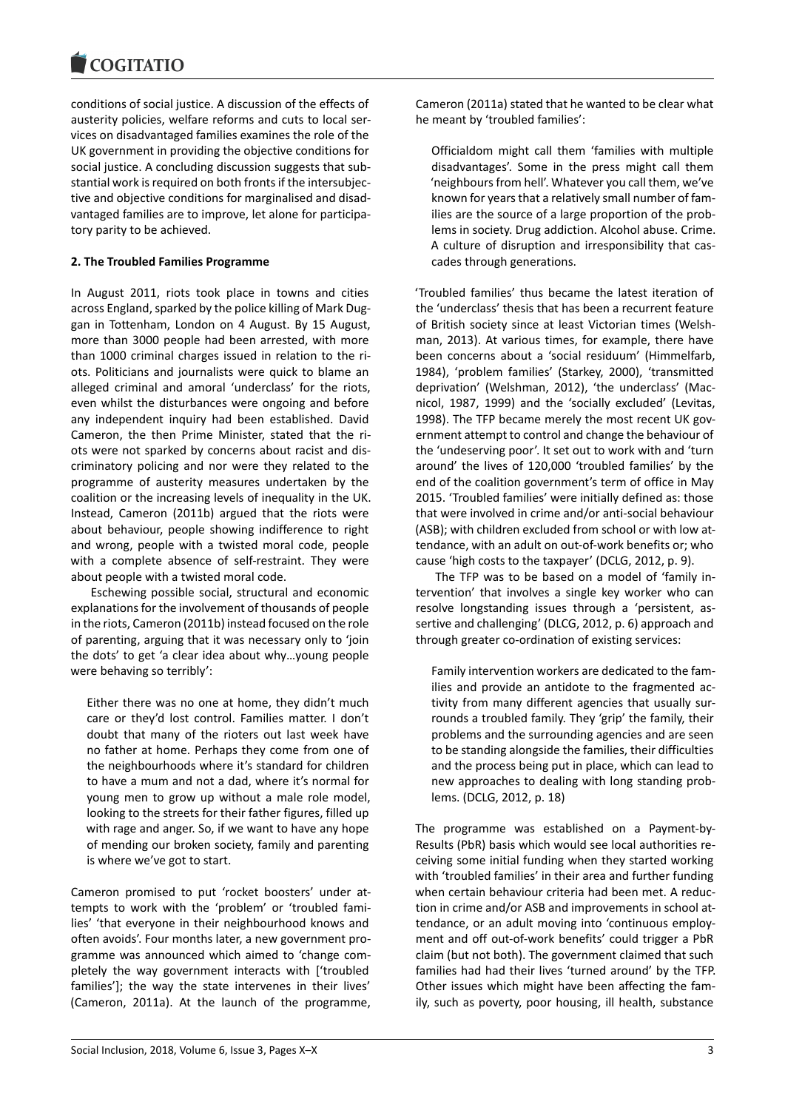conditions of social justice. A discussion of the effects of austerity policies, welfare reforms and cuts to local services on disadvantaged families examines the role of the UK government in providing the objective conditions for social justice. A concluding discussion suggests that substantial work is required on both fronts if the intersubjective and objective conditions for marginalised and disadvantaged families are to improve, let alone for participatory parity to be achieved.

### **2. The Troubled Families Programme**

In August 2011, riots took place in towns and cities across England, sparked by the police killing of Mark Duggan in Tottenham, London on 4 August. By 15 August, more than 3000 people had been arrested, with more than 1000 criminal charges issued in relation to the riots. Politicians and journalists were quick to blame an alleged criminal and amoral 'underclass' for the riots, even whilst the disturbances were ongoing and before any independent inquiry had been established. David Cameron, the then Prime Minister, stated that the riots were not sparked by concerns about racist and discriminatory policing and nor were they related to the programme of austerity measures undertaken by the coalition or the increasing levels of inequality in the UK. Instead, Cameron (2011b) argued that the riots were about behaviour, people showing indifference to right and wrong, people with a twisted moral code, people with a complete absence of self-restraint. They were about people with a twisted moral code.

Eschewing possible social, structural and economic explanations for the involvement of thousands of people in the riots, Cameron (2011b) instead focused on the role of parenting, arguing that it was necessary only to 'join the dots' to get 'a clear idea about why…young people were behaving so terribly':

Either there was no one at home, they didn't much care or they'd lost control. Families matter. I don't doubt that many of the rioters out last week have no father at home. Perhaps they come from one of the neighbourhoods where it's standard for children to have a mum and not a dad, where it's normal for young men to grow up without a male role model, looking to the streets for their father figures, filled up with rage and anger. So, if we want to have any hope of mending our broken society, family and parenting is where we've got to start.

Cameron promised to put 'rocket boosters' under attempts to work with the 'problem' or 'troubled families' 'that everyone in their neighbourhood knows and often avoids'. Four months later, a new government programme was announced which aimed to 'change completely the way government interacts with ['troubled families']; the way the state intervenes in their lives' (Cameron, 2011a). At the launch of the programme,

Cameron (2011a) stated that he wanted to be clear what he meant by 'troubled families':

Officialdom might call them 'families with multiple disadvantages'. Some in the press might call them 'neighbours from hell'. Whatever you call them, we've known for years that a relatively small number of families are the source of a large proportion of the problems in society. Drug addiction. Alcohol abuse. Crime. A culture of disruption and irresponsibility that cascades through generations.

'Troubled families' thus became the latest iteration of the 'underclass' thesis that has been a recurrent feature of British society since at least Victorian times (Welshman, 2013). At various times, for example, there have been concerns about a 'social residuum' (Himmelfarb, 1984), 'problem families' (Starkey, 2000), 'transmitted deprivation' (Welshman, 2012), 'the underclass' (Macnicol, 1987, 1999) and the 'socially excluded' (Levitas, 1998). The TFP became merely the most recent UK government attempt to control and change the behaviour of the 'undeserving poor'. It set out to work with and 'turn around' the lives of 120,000 'troubled families' by the end of the coalition government's term of office in May 2015. 'Troubled families' were initially defined as: those that were involved in crime and/or anti-social behaviour (ASB); with children excluded from school or with low attendance, with an adult on out-of-work benefits or; who cause 'high costs to the taxpayer' (DCLG, 2012, p. 9).

The TFP was to be based on a model of 'family intervention' that involves a single key worker who can resolve longstanding issues through a 'persistent, assertive and challenging' (DLCG, 2012, p. 6) approach and through greater co-ordination of existing services:

Family intervention workers are dedicated to the families and provide an antidote to the fragmented activity from many different agencies that usually surrounds a troubled family. They 'grip' the family, their problems and the surrounding agencies and are seen to be standing alongside the families, their difficulties and the process being put in place, which can lead to new approaches to dealing with long standing problems. (DCLG, 2012, p. 18)

The programme was established on a Payment-by-Results (PbR) basis which would see local authorities receiving some initial funding when they started working with 'troubled families' in their area and further funding when certain behaviour criteria had been met. A reduction in crime and/or ASB and improvements in school attendance, or an adult moving into 'continuous employment and off out-of-work benefits' could trigger a PbR claim (but not both). The government claimed that such families had had their lives 'turned around' by the TFP. Other issues which might have been affecting the family, such as poverty, poor housing, ill health, substance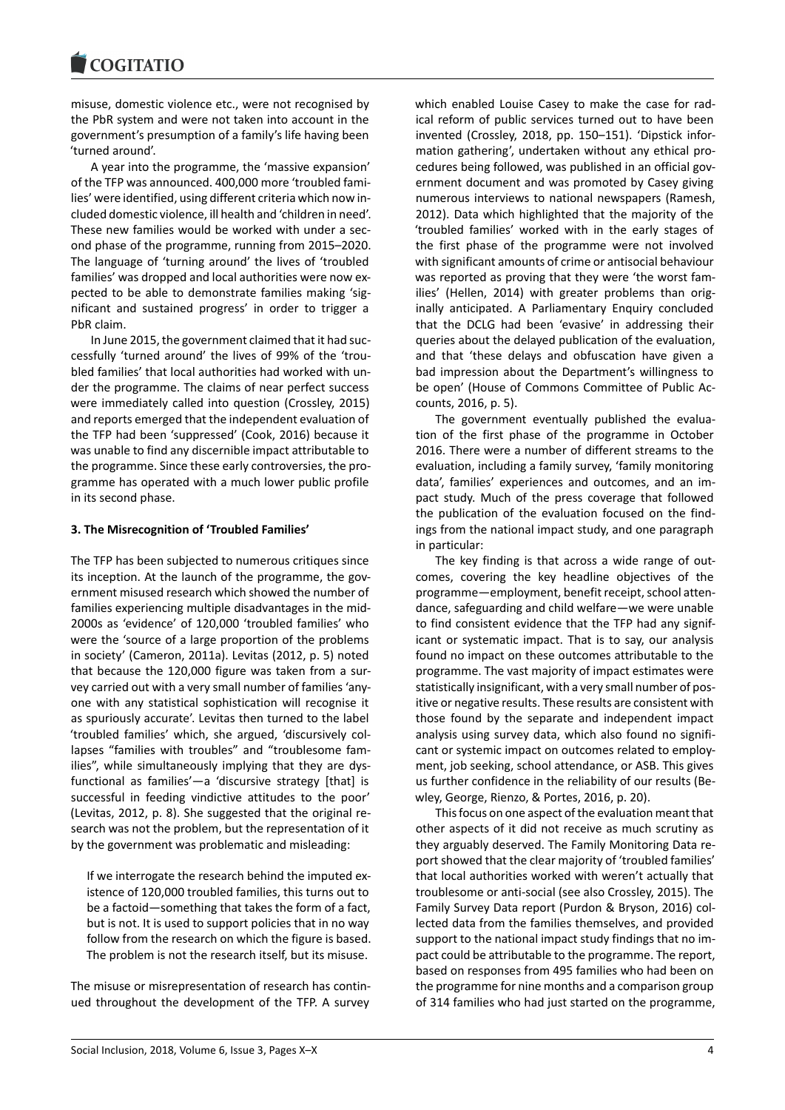misuse, domestic violence etc., were not recognised by the PbR system and were not taken into account in the government's presumption of a family's life having been 'turned around'.

A year into the programme, the 'massive expansion' of the TFP was announced. 400,000 more 'troubled families' were identified, using different criteria which now included domestic violence, ill health and 'children in need'. These new families would be worked with under a second phase of the programme, running from 2015–2020. The language of 'turning around' the lives of 'troubled families' was dropped and local authorities were now expected to be able to demonstrate families making 'significant and sustained progress' in order to trigger a PbR claim.

In June 2015, the government claimed that it had successfully 'turned around' the lives of 99% of the 'troubled families' that local authorities had worked with under the programme. The claims of near perfect success were immediately called into question (Crossley, 2015) and reports emerged that the independent evaluation of the TFP had been 'suppressed' (Cook, 2016) because it was unable to find any discernible impact attributable to the programme. Since these early controversies, the programme has operated with a much lower public profile in its second phase.

#### **3. The Misrecognition of 'Troubled Families'**

The TFP has been subjected to numerous critiques since its inception. At the launch of the programme, the government misused research which showed the number of families experiencing multiple disadvantages in the mid-2000s as 'evidence' of 120,000 'troubled families' who were the 'source of a large proportion of the problems in society' (Cameron, 2011a). Levitas (2012, p. 5) noted that because the 120,000 figure was taken from a survey carried out with a very small number of families 'anyone with any statistical sophistication will recognise it as spuriously accurate'. Levitas then turned to the label 'troubled families' which, she argued, 'discursively collapses "families with troubles" and "troublesome families", while simultaneously implying that they are dysfunctional as families'—a 'discursive strategy [that] is successful in feeding vindictive attitudes to the poor' (Levitas, 2012, p. 8). She suggested that the original research was not the problem, but the representation of it by the government was problematic and misleading:

If we interrogate the research behind the imputed existence of 120,000 troubled families, this turns out to be a factoid—something that takes the form of a fact, but is not. It is used to support policies that in no way follow from the research on which the figure is based. The problem is not the research itself, but its misuse.

The misuse or misrepresentation of research has continued throughout the development of the TFP. A survey

which enabled Louise Casey to make the case for radical reform of public services turned out to have been invented (Crossley, 2018, pp. 150–151). 'Dipstick information gathering', undertaken without any ethical procedures being followed, was published in an official government document and was promoted by Casey giving numerous interviews to national newspapers (Ramesh, 2012). Data which highlighted that the majority of the 'troubled families' worked with in the early stages of the first phase of the programme were not involved with significant amounts of crime or antisocial behaviour was reported as proving that they were 'the worst families' (Hellen, 2014) with greater problems than originally anticipated. A Parliamentary Enquiry concluded that the DCLG had been 'evasive' in addressing their queries about the delayed publication of the evaluation, and that 'these delays and obfuscation have given a bad impression about the Department's willingness to be open' (House of Commons Committee of Public Accounts, 2016, p. 5).

The government eventually published the evaluation of the first phase of the programme in October 2016. There were a number of different streams to the evaluation, including a family survey, 'family monitoring data', families' experiences and outcomes, and an impact study. Much of the press coverage that followed the publication of the evaluation focused on the findings from the national impact study, and one paragraph in particular:

The key finding is that across a wide range of outcomes, covering the key headline objectives of the programme—employment, benefit receipt, school attendance, safeguarding and child welfare—we were unable to find consistent evidence that the TFP had any significant or systematic impact. That is to say, our analysis found no impact on these outcomes attributable to the programme. The vast majority of impact estimates were statistically insignificant, with a very small number of positive or negative results. These results are consistent with those found by the separate and independent impact analysis using survey data, which also found no significant or systemic impact on outcomes related to employment, job seeking, school attendance, or ASB. This gives us further confidence in the reliability of our results (Bewley, George, Rienzo, & Portes, 2016, p. 20).

This focus on one aspect of the evaluation meant that other aspects of it did not receive as much scrutiny as they arguably deserved. The Family Monitoring Data report showed that the clear majority of 'troubled families' that local authorities worked with weren't actually that troublesome or anti-social (see also Crossley, 2015). The Family Survey Data report (Purdon & Bryson, 2016) collected data from the families themselves, and provided support to the national impact study findings that no impact could be attributable to the programme. The report, based on responses from 495 families who had been on the programme for nine months and a comparison group of 314 families who had just started on the programme,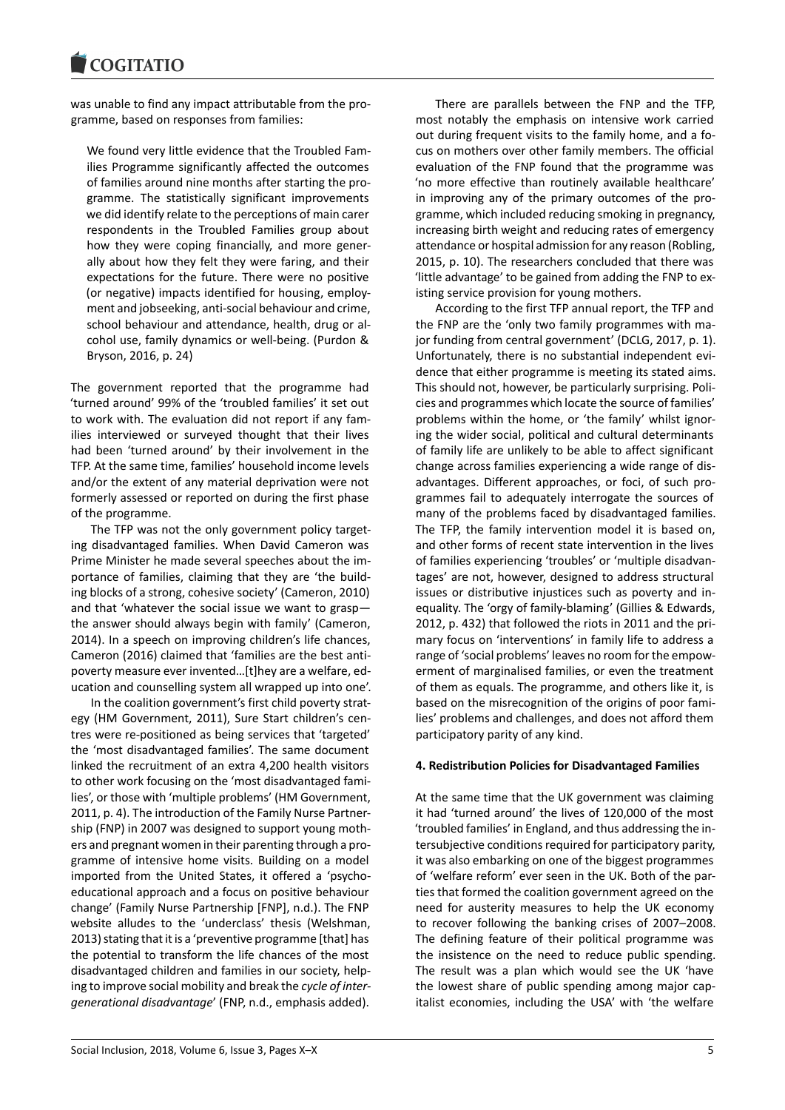was unable to find any impact attributable from the programme, based on responses from families:

We found very little evidence that the Troubled Families Programme significantly affected the outcomes of families around nine months after starting the programme. The statistically significant improvements we did identify relate to the perceptions of main carer respondents in the Troubled Families group about how they were coping financially, and more generally about how they felt they were faring, and their expectations for the future. There were no positive (or negative) impacts identified for housing, employment and jobseeking, anti-social behaviour and crime, school behaviour and attendance, health, drug or alcohol use, family dynamics or well-being. (Purdon & Bryson, 2016, p. 24)

The government reported that the programme had 'turned around' 99% of the 'troubled families' it set out to work with. The evaluation did not report if any families interviewed or surveyed thought that their lives had been 'turned around' by their involvement in the TFP. At the same time, families' household income levels and/or the extent of any material deprivation were not formerly assessed or reported on during the first phase of the programme.

The TFP was not the only government policy targeting disadvantaged families. When David Cameron was Prime Minister he made several speeches about the importance of families, claiming that they are 'the building blocks of a strong, cohesive society' (Cameron, 2010) and that 'whatever the social issue we want to grasp the answer should always begin with family' (Cameron, 2014). In a speech on improving children's life chances, Cameron (2016) claimed that 'families are the best antipoverty measure ever invented…[t]hey are a welfare, education and counselling system all wrapped up into one'.

In the coalition government's first child poverty strategy (HM Government, 2011), Sure Start children's centres were re-positioned as being services that 'targeted' the 'most disadvantaged families'. The same document linked the recruitment of an extra 4,200 health visitors to other work focusing on the 'most disadvantaged families', or those with 'multiple problems' (HM Government, 2011, p. 4). The introduction of the Family Nurse Partnership (FNP) in 2007 was designed to support young mothers and pregnant women in their parenting through a programme of intensive home visits. Building on a model imported from the United States, it offered a 'psychoeducational approach and a focus on positive behaviour change' (Family Nurse Partnership [FNP], n.d.). The FNP website alludes to the 'underclass' thesis (Welshman, 2013) stating that it is a 'preventive programme [that] has the potential to transform the life chances of the most disadvantaged children and families in our society, helping to improve social mobility and break the *cycle of intergenerational disadvantage*' (FNP, n.d., emphasis added).

There are parallels between the FNP and the TFP, most notably the emphasis on intensive work carried out during frequent visits to the family home, and a focus on mothers over other family members. The official evaluation of the FNP found that the programme was 'no more effective than routinely available healthcare' in improving any of the primary outcomes of the programme, which included reducing smoking in pregnancy, increasing birth weight and reducing rates of emergency attendance or hospital admission for any reason (Robling, 2015, p. 10). The researchers concluded that there was 'little advantage' to be gained from adding the FNP to existing service provision for young mothers.

According to the first TFP annual report, the TFP and the FNP are the 'only two family programmes with major funding from central government' (DCLG, 2017, p. 1). Unfortunately, there is no substantial independent evidence that either programme is meeting its stated aims. This should not, however, be particularly surprising. Policies and programmes which locate the source of families' problems within the home, or 'the family' whilst ignoring the wider social, political and cultural determinants of family life are unlikely to be able to affect significant change across families experiencing a wide range of disadvantages. Different approaches, or foci, of such programmes fail to adequately interrogate the sources of many of the problems faced by disadvantaged families. The TFP, the family intervention model it is based on, and other forms of recent state intervention in the lives of families experiencing 'troubles' or 'multiple disadvantages' are not, however, designed to address structural issues or distributive injustices such as poverty and inequality. The 'orgy of family-blaming' (Gillies & Edwards, 2012, p. 432) that followed the riots in 2011 and the primary focus on 'interventions' in family life to address a range of 'social problems' leaves no room for the empowerment of marginalised families, or even the treatment of them as equals. The programme, and others like it, is based on the misrecognition of the origins of poor families' problems and challenges, and does not afford them participatory parity of any kind.

#### **4. Redistribution Policies for Disadvantaged Families**

At the same time that the UK government was claiming it had 'turned around' the lives of 120,000 of the most 'troubled families' in England, and thus addressing the intersubjective conditions required for participatory parity, it was also embarking on one of the biggest programmes of 'welfare reform' ever seen in the UK. Both of the parties that formed the coalition government agreed on the need for austerity measures to help the UK economy to recover following the banking crises of 2007–2008. The defining feature of their political programme was the insistence on the need to reduce public spending. The result was a plan which would see the UK 'have the lowest share of public spending among major capitalist economies, including the USA' with 'the welfare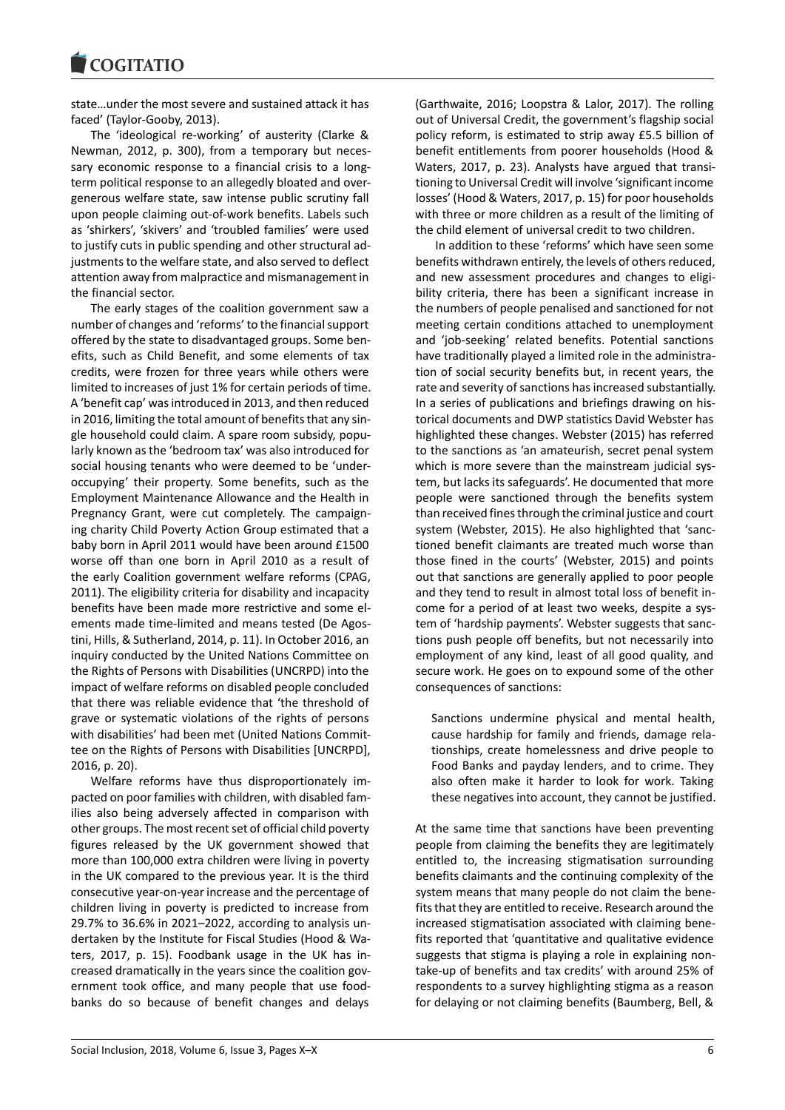

state…under the most severe and sustained attack it has faced' (Taylor-Gooby, 2013).

The 'ideological re-working' of austerity (Clarke & Newman, 2012, p. 300), from a temporary but necessary economic response to a financial crisis to a longterm political response to an allegedly bloated and overgenerous welfare state, saw intense public scrutiny fall upon people claiming out-of-work benefits. Labels such as 'shirkers', 'skivers' and 'troubled families' were used to justify cuts in public spending and other structural adjustments to the welfare state, and also served to deflect attention away from malpractice and mismanagement in the financial sector.

The early stages of the coalition government saw a number of changes and 'reforms' to the financial support offered by the state to disadvantaged groups. Some benefits, such as Child Benefit, and some elements of tax credits, were frozen for three years while others were limited to increases of just 1% for certain periods of time. A 'benefit cap' was introduced in 2013, and then reduced in 2016, limiting the total amount of benefits that any single household could claim. A spare room subsidy, popularly known as the 'bedroom tax' was also introduced for social housing tenants who were deemed to be 'underoccupying' their property. Some benefits, such as the Employment Maintenance Allowance and the Health in Pregnancy Grant, were cut completely. The campaigning charity Child Poverty Action Group estimated that a baby born in April 2011 would have been around £1500 worse off than one born in April 2010 as a result of the early Coalition government welfare reforms (CPAG, 2011). The eligibility criteria for disability and incapacity benefits have been made more restrictive and some elements made time-limited and means tested (De Agostini, Hills, & Sutherland, 2014, p. 11). In October 2016, an inquiry conducted by the United Nations Committee on the Rights of Persons with Disabilities (UNCRPD) into the impact of welfare reforms on disabled people concluded that there was reliable evidence that 'the threshold of grave or systematic violations of the rights of persons with disabilities' had been met (United Nations Committee on the Rights of Persons with Disabilities [UNCRPD], 2016, p. 20).

Welfare reforms have thus disproportionately impacted on poor families with children, with disabled families also being adversely affected in comparison with other groups. The most recent set of official child poverty figures released by the UK government showed that more than 100,000 extra children were living in poverty in the UK compared to the previous year. It is the third consecutive year-on-year increase and the percentage of children living in poverty is predicted to increase from 29.7% to 36.6% in 2021–2022, according to analysis undertaken by the Institute for Fiscal Studies (Hood & Waters, 2017, p. 15). Foodbank usage in the UK has increased dramatically in the years since the coalition government took office, and many people that use foodbanks do so because of benefit changes and delays

(Garthwaite, 2016; Loopstra & Lalor, 2017). The rolling out of Universal Credit, the government's flagship social policy reform, is estimated to strip away £5.5 billion of benefit entitlements from poorer households (Hood & Waters, 2017, p. 23). Analysts have argued that transitioning to Universal Credit will involve 'significant income losses' (Hood & Waters, 2017, p. 15) for poor households with three or more children as a result of the limiting of the child element of universal credit to two children.

In addition to these 'reforms' which have seen some benefits withdrawn entirely, the levels of others reduced, and new assessment procedures and changes to eligibility criteria, there has been a significant increase in the numbers of people penalised and sanctioned for not meeting certain conditions attached to unemployment and 'job-seeking' related benefits. Potential sanctions have traditionally played a limited role in the administration of social security benefits but, in recent years, the rate and severity of sanctions has increased substantially. In a series of publications and briefings drawing on historical documents and DWP statistics David Webster has highlighted these changes. Webster (2015) has referred to the sanctions as 'an amateurish, secret penal system which is more severe than the mainstream judicial system, but lacks its safeguards'. He documented that more people were sanctioned through the benefits system than received fines through the criminal justice and court system (Webster, 2015). He also highlighted that 'sanctioned benefit claimants are treated much worse than those fined in the courts' (Webster, 2015) and points out that sanctions are generally applied to poor people and they tend to result in almost total loss of benefit income for a period of at least two weeks, despite a system of 'hardship payments'. Webster suggests that sanctions push people off benefits, but not necessarily into employment of any kind, least of all good quality, and secure work. He goes on to expound some of the other consequences of sanctions:

Sanctions undermine physical and mental health, cause hardship for family and friends, damage relationships, create homelessness and drive people to Food Banks and payday lenders, and to crime. They also often make it harder to look for work. Taking these negatives into account, they cannot be justified.

At the same time that sanctions have been preventing people from claiming the benefits they are legitimately entitled to, the increasing stigmatisation surrounding benefits claimants and the continuing complexity of the system means that many people do not claim the benefits that they are entitled to receive. Research around the increased stigmatisation associated with claiming benefits reported that 'quantitative and qualitative evidence suggests that stigma is playing a role in explaining nontake-up of benefits and tax credits' with around 25% of respondents to a survey highlighting stigma as a reason for delaying or not claiming benefits (Baumberg, Bell, &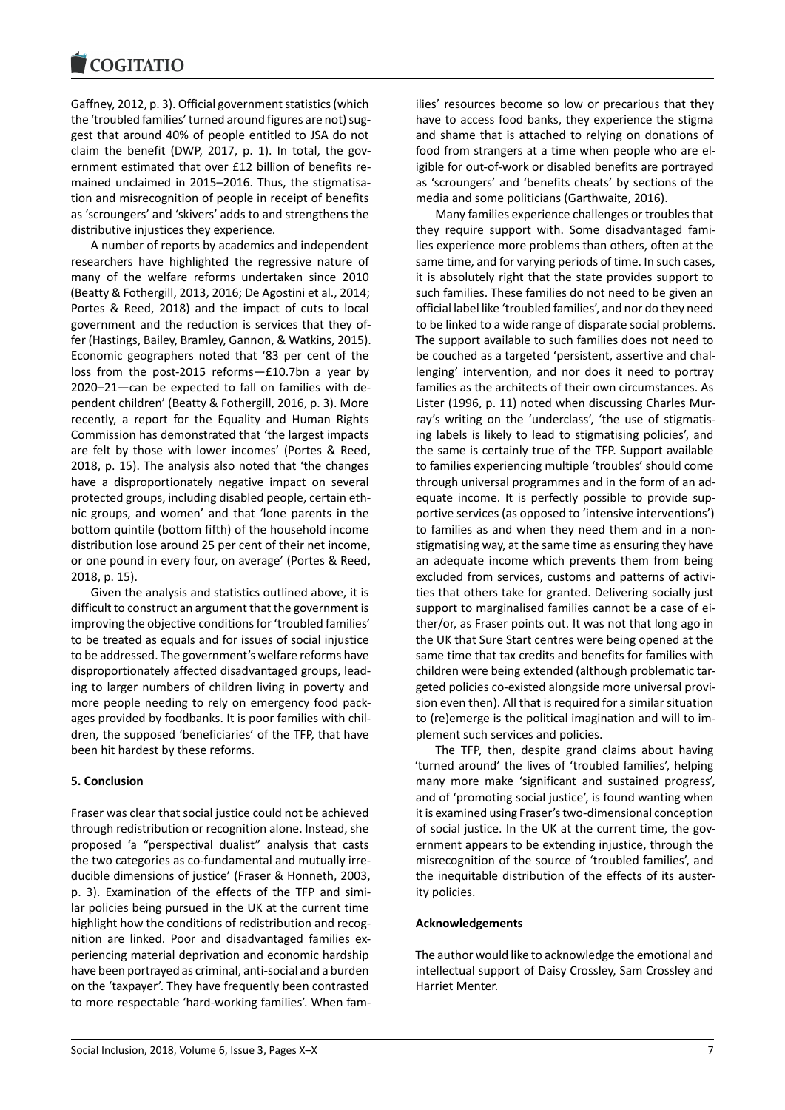Gaffney, 2012, p. 3). Official government statistics (which the 'troubled families' turned around figures are not) suggest that around 40% of people entitled to JSA do not claim the benefit (DWP, 2017, p. 1). In total, the government estimated that over £12 billion of benefits remained unclaimed in 2015–2016. Thus, the stigmatisation and misrecognition of people in receipt of benefits as 'scroungers' and 'skivers' adds to and strengthens the distributive injustices they experience.

A number of reports by academics and independent researchers have highlighted the regressive nature of many of the welfare reforms undertaken since 2010 (Beatty & Fothergill, 2013, 2016; De Agostini et al., 2014; Portes & Reed, 2018) and the impact of cuts to local government and the reduction is services that they offer (Hastings, Bailey, Bramley, Gannon, & Watkins, 2015). Economic geographers noted that '83 per cent of the loss from the post-2015 reforms—£10.7bn a year by 2020–21—can be expected to fall on families with dependent children' (Beatty & Fothergill, 2016, p. 3). More recently, a report for the Equality and Human Rights Commission has demonstrated that 'the largest impacts are felt by those with lower incomes' (Portes & Reed, 2018, p. 15). The analysis also noted that 'the changes have a disproportionately negative impact on several protected groups, including disabled people, certain ethnic groups, and women' and that 'lone parents in the bottom quintile (bottom fifth) of the household income distribution lose around 25 per cent of their net income, or one pound in every four, on average' (Portes & Reed, 2018, p. 15).

Given the analysis and statistics outlined above, it is difficult to construct an argument that the government is improving the objective conditions for 'troubled families' to be treated as equals and for issues of social injustice to be addressed. The government's welfare reforms have disproportionately affected disadvantaged groups, leading to larger numbers of children living in poverty and more people needing to rely on emergency food packages provided by foodbanks. It is poor families with children, the supposed 'beneficiaries' of the TFP, that have been hit hardest by these reforms.

#### **5. Conclusion**

Fraser was clear that social justice could not be achieved through redistribution or recognition alone. Instead, she proposed 'a "perspectival dualist" analysis that casts the two categories as co-fundamental and mutually irreducible dimensions of justice' (Fraser & Honneth, 2003, p. 3). Examination of the effects of the TFP and similar policies being pursued in the UK at the current time highlight how the conditions of redistribution and recognition are linked. Poor and disadvantaged families experiencing material deprivation and economic hardship have been portrayed as criminal, anti-social and a burden on the 'taxpayer'. They have frequently been contrasted to more respectable 'hard-working families'. When fam-

ilies' resources become so low or precarious that they have to access food banks, they experience the stigma and shame that is attached to relying on donations of food from strangers at a time when people who are eligible for out-of-work or disabled benefits are portrayed as 'scroungers' and 'benefits cheats' by sections of the media and some politicians (Garthwaite, 2016).

Many families experience challenges or troubles that they require support with. Some disadvantaged families experience more problems than others, often at the same time, and for varying periods of time. In such cases, it is absolutely right that the state provides support to such families. These families do not need to be given an official label like 'troubled families', and nor do they need to be linked to a wide range of disparate social problems. The support available to such families does not need to be couched as a targeted 'persistent, assertive and challenging' intervention, and nor does it need to portray families as the architects of their own circumstances. As Lister (1996, p. 11) noted when discussing Charles Murray's writing on the 'underclass', 'the use of stigmatising labels is likely to lead to stigmatising policies', and the same is certainly true of the TFP. Support available to families experiencing multiple 'troubles' should come through universal programmes and in the form of an adequate income. It is perfectly possible to provide supportive services (as opposed to 'intensive interventions') to families as and when they need them and in a nonstigmatising way, at the same time as ensuring they have an adequate income which prevents them from being excluded from services, customs and patterns of activities that others take for granted. Delivering socially just support to marginalised families cannot be a case of either/or, as Fraser points out. It was not that long ago in the UK that Sure Start centres were being opened at the same time that tax credits and benefits for families with children were being extended (although problematic targeted policies co-existed alongside more universal provision even then). All that is required for a similar situation to (re)emerge is the political imagination and will to implement such services and policies.

The TFP, then, despite grand claims about having 'turned around' the lives of 'troubled families', helping many more make 'significant and sustained progress', and of 'promoting social justice', is found wanting when it is examined using Fraser's two-dimensional conception of social justice. In the UK at the current time, the government appears to be extending injustice, through the misrecognition of the source of 'troubled families', and the inequitable distribution of the effects of its austerity policies.

#### **Acknowledgements**

The author would like to acknowledge the emotional and intellectual support of Daisy Crossley, Sam Crossley and Harriet Menter.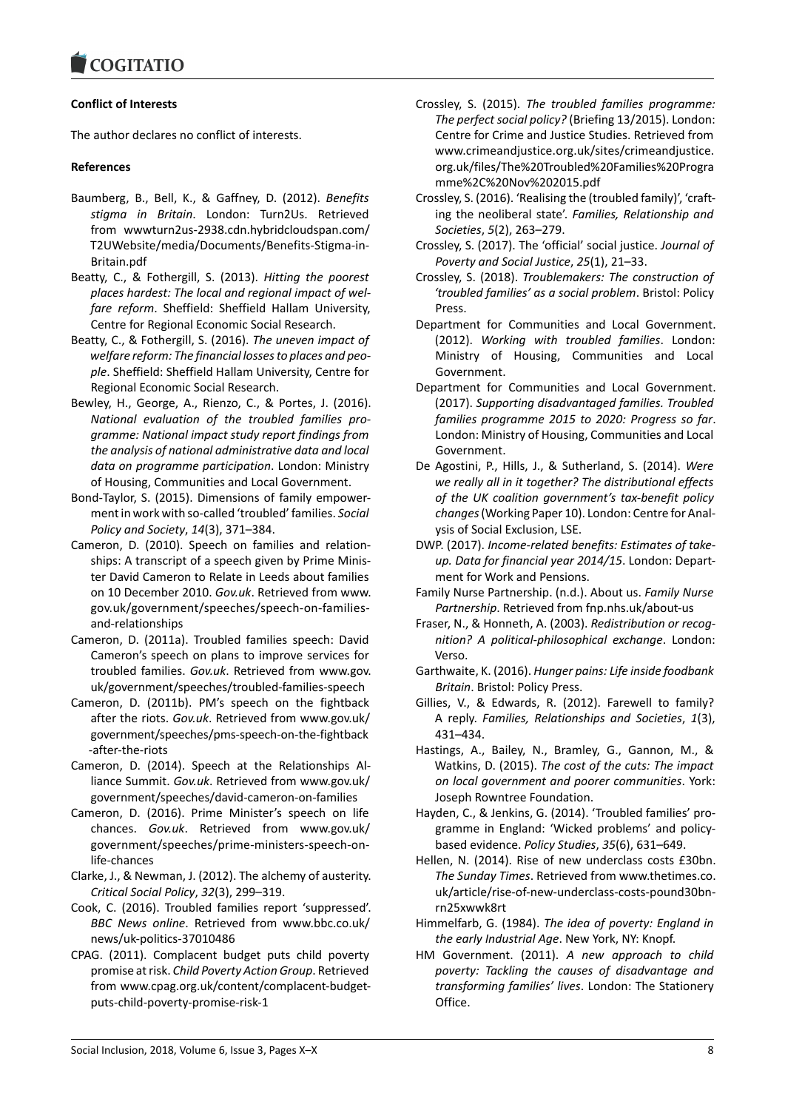

### **Conflict of Interests**

The author declares no conflict of interests.

#### **References**

- Baumberg, B., Bell, K., & Gaffney, D. (2012). *Benefits stigma in Britain*. London: Turn2Us. Retrieved from wwwturn2us-2938.cdn.hybridcloudspan.com/ T2UWebsite/media/Documents/Benefits-Stigma-in-Britain.pdf
- Beatty, C., & Fothergill, S. (2013). *Hitting the poorest places hardest: The local and regional impact of welfare reform*. Sheffield: Sheffield Hallam University, Centre for Regional Economic Social Research.
- Beatty, C., & Fothergill, S. (2016). *The uneven impact of welfare reform: The financial losses to places and people*. Sheffield: Sheffield Hallam University, Centre for Regional Economic Social Research.
- Bewley, H., George, A., Rienzo, C., & Portes, J. (2016). *National evaluation of the troubled families programme: National impact study report findings from the analysis of national administrative data and local data on programme participation*. London: Ministry of Housing, Communities and Local Government.
- Bond-Taylor, S. (2015). Dimensions of family empowerment in work with so-called 'troubled' families. *Social Policy and Society*, *14*(3), 371–384.
- Cameron, D. (2010). Speech on families and relationships: A transcript of a speech given by Prime Minister David Cameron to Relate in Leeds about families on 10 December 2010. *Gov.uk*. Retrieved from www. gov.uk/government/speeches/speech-on-familiesand-relationships
- Cameron, D. (2011a). Troubled families speech: David Cameron's speech on plans to improve services for troubled families. *Gov.uk*. Retrieved from www.gov. uk/government/speeches/troubled-families-speech
- Cameron, D. (2011b). PM's speech on the fightback after the riots. *Gov.uk*. Retrieved from www.gov.uk/ government/speeches/pms-speech-on-the-fightback -after-the-riots
- Cameron, D. (2014). Speech at the Relationships Alliance Summit. *Gov.uk*. Retrieved from www.gov.uk/ government/speeches/david-cameron-on-families
- Cameron, D. (2016). Prime Minister's speech on life chances. *Gov.uk*. Retrieved from www.gov.uk/ government/speeches/prime-ministers-speech-onlife-chances
- Clarke, J., & Newman, J. (2012). The alchemy of austerity. *Critical Social Policy*, *32*(3), 299–319.
- Cook, C. (2016). Troubled families report 'suppressed'. *BBC News online*. Retrieved from www.bbc.co.uk/ news/uk-politics-37010486
- CPAG. (2011). Complacent budget puts child poverty promise at risk. *Child Poverty Action Group*. Retrieved from www.cpag.org.uk/content/complacent-budgetputs-child-poverty-promise-risk-1
- Crossley, S. (2015). *The troubled families programme: The perfect social policy?* (Briefing 13/2015). London: Centre for Crime and Justice Studies. Retrieved from www.crimeandjustice.org.uk/sites/crimeandjustice. org.uk/files/The%20Troubled%20Families%20Progra mme%2C%20Nov%202015.pdf
- Crossley, S. (2016). 'Realising the (troubled family)', 'crafting the neoliberal state'. *Families, Relationship and Societies*, *5*(2), 263–279.
- Crossley, S. (2017). The 'official' social justice. *Journal of Poverty and Social Justice*, *25*(1), 21–33.
- Crossley, S. (2018). *Troublemakers: The construction of 'troubled families' as a social problem*. Bristol: Policy Press.
- Department for Communities and Local Government. (2012). *Working with troubled families*. London: Ministry of Housing, Communities and Local Government.
- Department for Communities and Local Government. (2017). *Supporting disadvantaged families. Troubled families programme 2015 to 2020: Progress so far*. London: Ministry of Housing, Communities and Local Government.
- De Agostini, P., Hills, J., & Sutherland, S. (2014). *Were we really all in it together? The distributional effects of the UK coalition government's tax-benefit policy changes*(Working Paper 10). London: Centre for Analysis of Social Exclusion, LSE.
- DWP. (2017). *Income-related benefits: Estimates of takeup. Data for financial year 2014/15*. London: Department for Work and Pensions.
- Family Nurse Partnership. (n.d.). About us. *Family Nurse Partnership*. Retrieved from fnp.nhs.uk/about-us
- Fraser, N., & Honneth, A. (2003). *Redistribution or recognition? A political-philosophical exchange*. London: Verso.
- Garthwaite, K. (2016). *Hunger pains: Life inside foodbank Britain*. Bristol: Policy Press.
- Gillies, V., & Edwards, R. (2012). Farewell to family? A reply. *Families, Relationships and Societies*, *1*(3), 431–434.
- Hastings, A., Bailey, N., Bramley, G., Gannon, M., & Watkins, D. (2015). *The cost of the cuts: The impact on local government and poorer communities*. York: Joseph Rowntree Foundation.
- Hayden, C., & Jenkins, G. (2014). 'Troubled families' programme in England: 'Wicked problems' and policybased evidence. *Policy Studies*, *35*(6), 631–649.
- Hellen, N. (2014). Rise of new underclass costs £30bn. *The Sunday Times*. Retrieved from www.thetimes.co. uk/article/rise-of-new-underclass-costs-pound30bnrn25xwwk8rt
- Himmelfarb, G. (1984). *The idea of poverty: England in the early Industrial Age*. New York, NY: Knopf.
- HM Government. (2011). *A new approach to child poverty: Tackling the causes of disadvantage and transforming families' lives*. London: The Stationery Office.